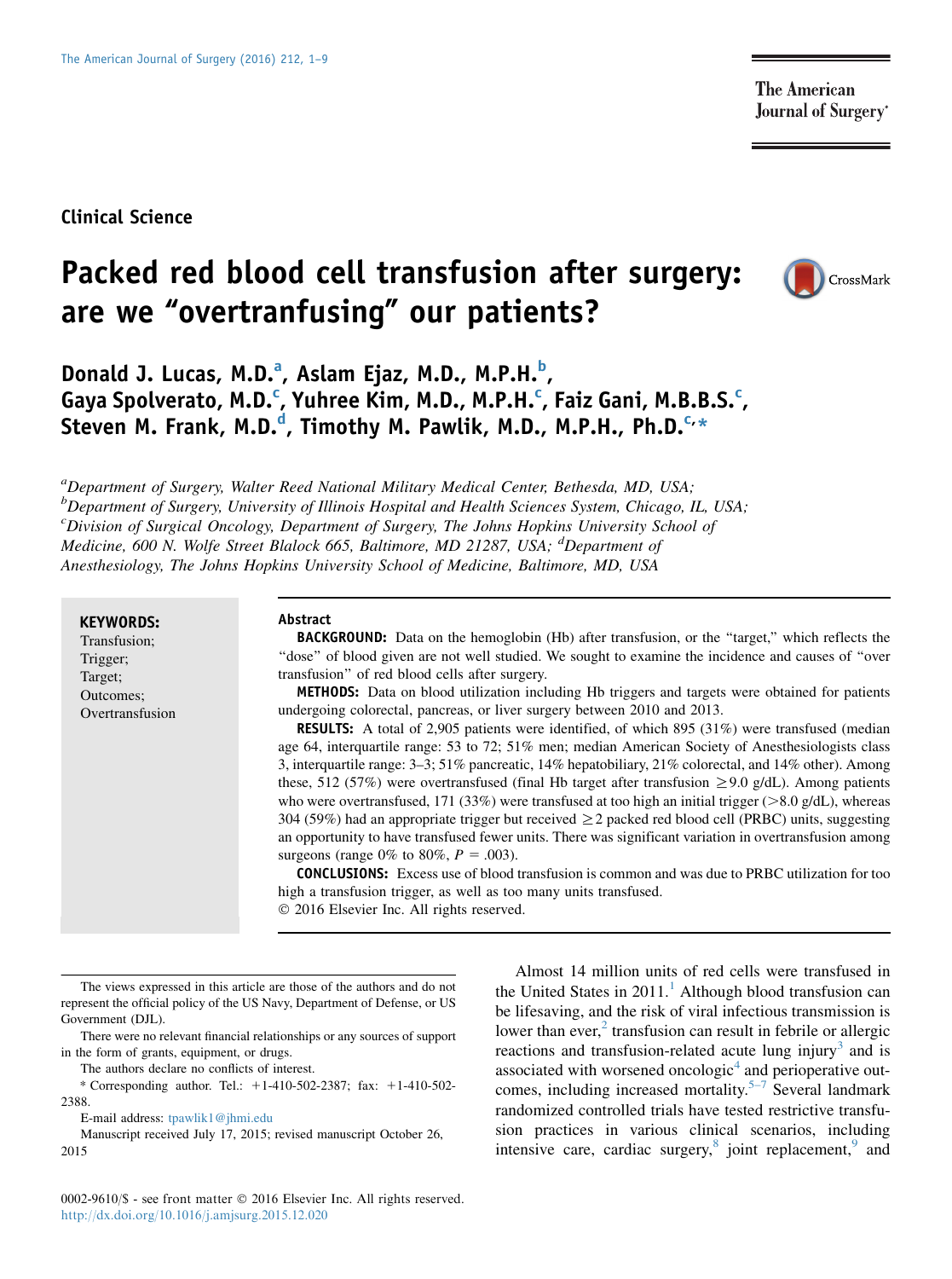**The American Journal of Surgery**\*

# Clinical Science

# Packed red blood cell transfusion after surgery: are we "overtranfusing" our patients?



Donald J. Lucas, M.D.<sup>a</sup>, Aslam Ejaz, M.D., M.P.H.<sup>b</sup>, Gaya Spolverato, M.D.<sup>c</sup>, Yuhree Kim, M.D., M.P.H.<sup>c</sup>, Faiz Gani, M.B.B.S.<sup>c</sup>, Steven M. Frank, M.D.<sup>d</sup>, Timothy M. Pawlik, M.D., M.P.H., Ph.D.<sup>c,</sup>\*

<sup>a</sup>Department of Surgery, Walter Reed National Military Medical Center, Bethesda, MD, USA; <sup>b</sup>Department of Surgery, University of Illinois Hospital and Health Sciences System, Chicago, IL, USA; <sup>c</sup>Division of Surgical Oncology, Department of Surgery, The Johns Hopkins University School of Medicine, 600 N. Wolfe Street Blalock 665, Baltimore, MD 21287, USA; <sup>d</sup>Department of Anesthesiology, The Johns Hopkins University School of Medicine, Baltimore, MD, USA

KEYWORDS:

Transfusion; Trigger; Target; Outcomes; Overtransfusion

#### Abstract

BACKGROUND: Data on the hemoglobin (Hb) after transfusion, or the ''target,'' which reflects the ''dose'' of blood given are not well studied. We sought to examine the incidence and causes of ''over transfusion'' of red blood cells after surgery.

METHODS: Data on blood utilization including Hb triggers and targets were obtained for patients undergoing colorectal, pancreas, or liver surgery between 2010 and 2013.

RESULTS: A total of 2,905 patients were identified, of which 895 (31%) were transfused (median age 64, interquartile range: 53 to 72; 51% men; median American Society of Anesthesiologists class 3, interquartile range: 3–3; 51% pancreatic, 14% hepatobiliary, 21% colorectal, and 14% other). Among these, 512 (57%) were overtransfused (final Hb target after transfusion  $\geq$  9.0 g/dL). Among patients who were overtransfused, 171 (33%) were transfused at too high an initial trigger ( $>8.0$  g/dL), whereas 304 (59%) had an appropriate trigger but received  $\geq$  2 packed red blood cell (PRBC) units, suggesting an opportunity to have transfused fewer units. There was significant variation in overtransfusion among surgeons (range 0% to 80%,  $P = .003$ ).

CONCLUSIONS: Excess use of blood transfusion is common and was due to PRBC utilization for too high a transfusion trigger, as well as too many units transfused.

2016 Elsevier Inc. All rights reserved.

The views expressed in this article are those of the authors and do not represent the official policy of the US Navy, Department of Defense, or US Government (DJL).

There were no relevant financial relationships or any sources of support in the form of grants, equipment, or drugs.

The authors declare no conflicts of interest.

\* Corresponding author. Tel.:  $+1-410-502-2387$ ; fax:  $+1-410-502-$ 2388.

E-mail address: [tpawlik1@jhmi.edu](mailto:tpawlik1@jhmi.edu)

Manuscript received July 17, 2015; revised manuscript October 26, 2015

Almost 14 million units of red cells were transfused in the United States in  $2011<sup>1</sup>$  $2011<sup>1</sup>$  $2011<sup>1</sup>$ . Although blood transfusion can be lifesaving, and the risk of viral infectious transmission is lower than ever, $2$  transfusion can result in febrile or allergic reactions and transfusion-related acute lung injury<sup>[3](#page-7-0)</sup> and is associated with worsened oncologic<sup>[4](#page-7-0)</sup> and perioperative out-comes, including increased mortality.<sup>[5–7](#page-7-0)</sup> Several landmark randomized controlled trials have tested restrictive transfusion practices in various clinical scenarios, including intensive care, cardiac surgery, $8$  joint replacement, $9$  and

0002-9610/\$ - see front matter © 2016 Elsevier Inc. All rights reserved. <http://dx.doi.org/10.1016/j.amjsurg.2015.12.020>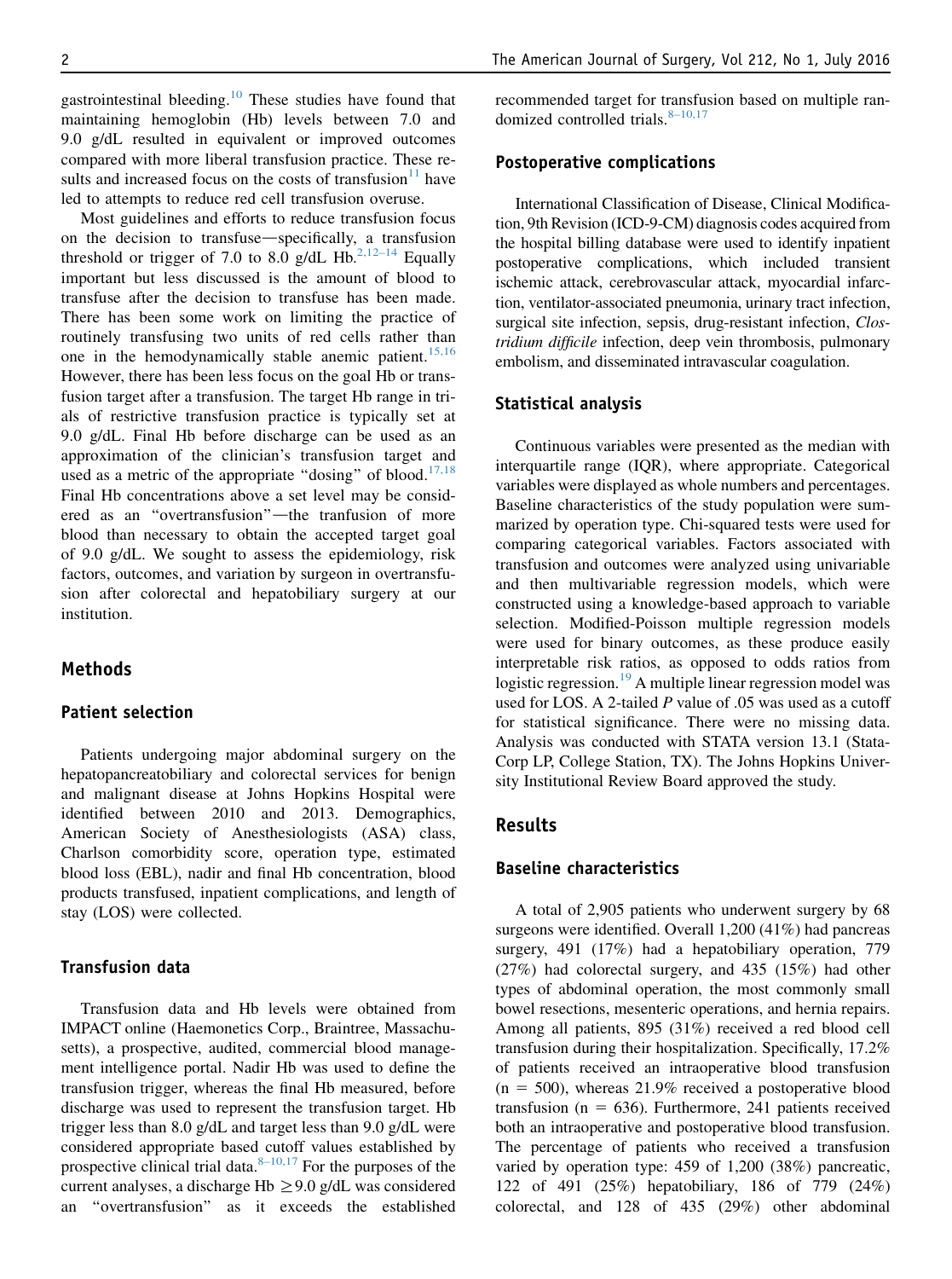gastrointestinal bleeding.<sup>[10](#page-7-0)</sup> These studies have found that maintaining hemoglobin (Hb) levels between 7.0 and 9.0 g/dL resulted in equivalent or improved outcomes compared with more liberal transfusion practice. These results and increased focus on the costs of transfusion $11$  have led to attempts to reduce red cell transfusion overuse.

Most guidelines and efforts to reduce transfusion focus on the decision to transfuse—specifically, a transfusion threshold or trigger of 7.0 to 8.0 g/dL Hb.<sup>[2,12–14](#page-7-0)</sup> Equally important but less discussed is the amount of blood to transfuse after the decision to transfuse has been made. There has been some work on limiting the practice of routinely transfusing two units of red cells rather than one in the hemodynamically stable anemic patient.<sup>[15,16](#page-7-0)</sup> However, there has been less focus on the goal Hb or transfusion target after a transfusion. The target Hb range in trials of restrictive transfusion practice is typically set at 9.0 g/dL. Final Hb before discharge can be used as an approximation of the clinician's transfusion target and used as a metric of the appropriate "dosing" of blood.<sup>[17,18](#page-8-0)</sup> Final Hb concentrations above a set level may be considered as an "overtransfusion"—the tranfusion of more blood than necessary to obtain the accepted target goal of 9.0 g/dL. We sought to assess the epidemiology, risk factors, outcomes, and variation by surgeon in overtransfusion after colorectal and hepatobiliary surgery at our institution.

## Methods

#### Patient selection

Patients undergoing major abdominal surgery on the hepatopancreatobiliary and colorectal services for benign and malignant disease at Johns Hopkins Hospital were identified between 2010 and 2013. Demographics, American Society of Anesthesiologists (ASA) class, Charlson comorbidity score, operation type, estimated blood loss (EBL), nadir and final Hb concentration, blood products transfused, inpatient complications, and length of stay (LOS) were collected.

#### Transfusion data

Transfusion data and Hb levels were obtained from IMPACT online (Haemonetics Corp., Braintree, Massachusetts), a prospective, audited, commercial blood management intelligence portal. Nadir Hb was used to define the transfusion trigger, whereas the final Hb measured, before discharge was used to represent the transfusion target. Hb trigger less than 8.0 g/dL and target less than 9.0 g/dL were considered appropriate based cutoff values established by prospective clinical trial data. $8-10,17$  For the purposes of the current analyses, a discharge Hb  $\geq$ 9.0 g/dL was considered an ''overtransfusion'' as it exceeds the established recommended target for transfusion based on multiple randomized controlled trials. $8-10,17$ 

#### Postoperative complications

International Classification of Disease, Clinical Modification, 9th Revision (ICD-9-CM) diagnosis codes acquired from the hospital billing database were used to identify inpatient postoperative complications, which included transient ischemic attack, cerebrovascular attack, myocardial infarction, ventilator-associated pneumonia, urinary tract infection, surgical site infection, sepsis, drug-resistant infection, Clostridium difficile infection, deep vein thrombosis, pulmonary embolism, and disseminated intravascular coagulation.

#### Statistical analysis

Continuous variables were presented as the median with interquartile range (IQR), where appropriate. Categorical variables were displayed as whole numbers and percentages. Baseline characteristics of the study population were summarized by operation type. Chi-squared tests were used for comparing categorical variables. Factors associated with transfusion and outcomes were analyzed using univariable and then multivariable regression models, which were constructed using a knowledge-based approach to variable selection. Modified-Poisson multiple regression models were used for binary outcomes, as these produce easily interpretable risk ratios, as opposed to odds ratios from logistic regression.<sup>[19](#page-8-0)</sup> A multiple linear regression model was used for LOS. A 2-tailed  $P$  value of .05 was used as a cutoff for statistical significance. There were no missing data. Analysis was conducted with STATA version 13.1 (Stata-Corp LP, College Station, TX). The Johns Hopkins University Institutional Review Board approved the study.

## Results

#### Baseline characteristics

A total of 2,905 patients who underwent surgery by 68 surgeons were identified. Overall 1,200 (41%) had pancreas surgery, 491 (17%) had a hepatobiliary operation, 779 (27%) had colorectal surgery, and 435 (15%) had other types of abdominal operation, the most commonly small bowel resections, mesenteric operations, and hernia repairs. Among all patients, 895 (31%) received a red blood cell transfusion during their hospitalization. Specifically, 17.2% of patients received an intraoperative blood transfusion  $(n = 500)$ , whereas 21.9% received a postoperative blood transfusion ( $n = 636$ ). Furthermore, 241 patients received both an intraoperative and postoperative blood transfusion. The percentage of patients who received a transfusion varied by operation type: 459 of 1,200 (38%) pancreatic, 122 of 491 (25%) hepatobiliary, 186 of 779 (24%) colorectal, and 128 of 435 (29%) other abdominal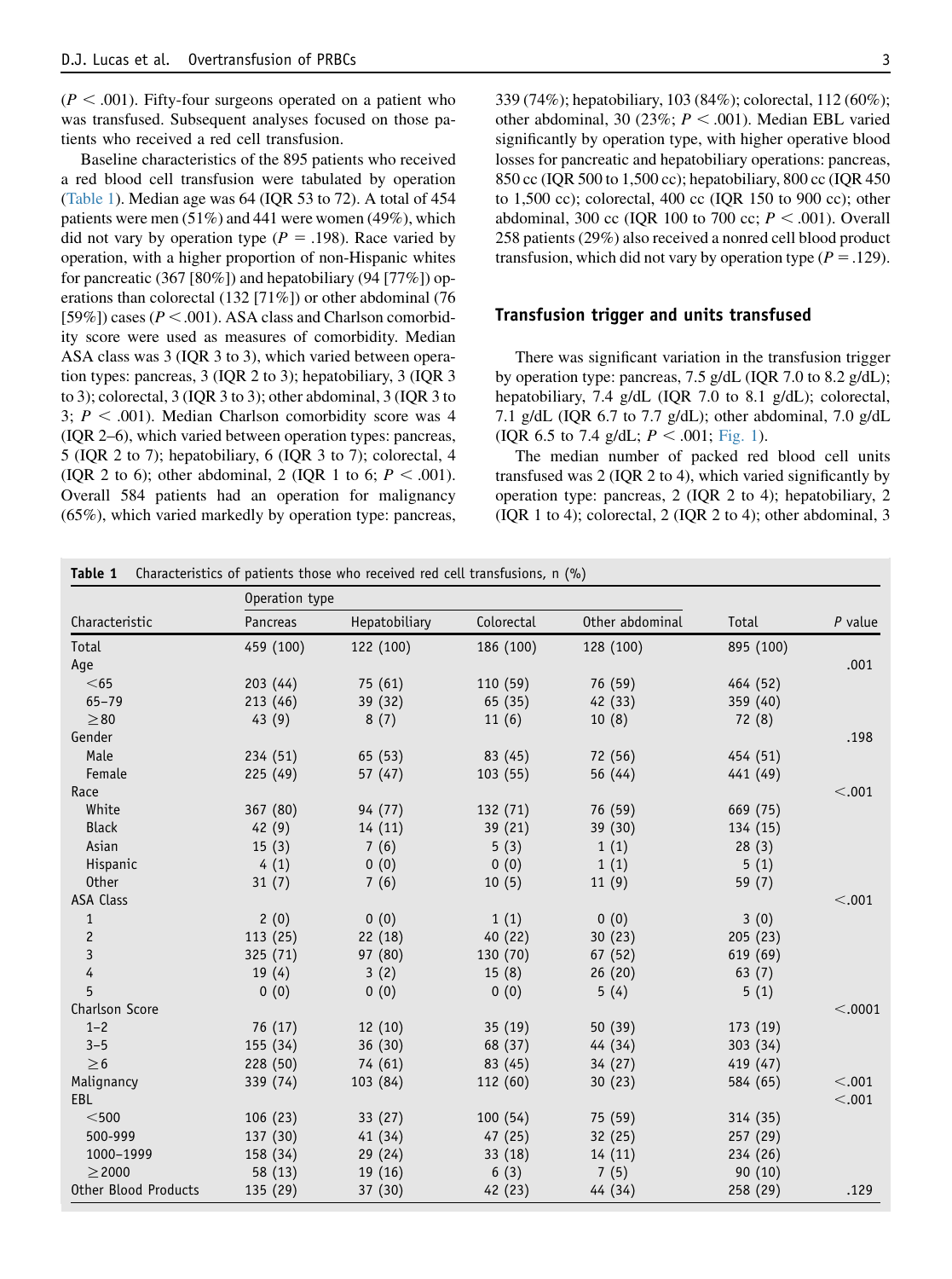$(P < .001)$ . Fifty-four surgeons operated on a patient who was transfused. Subsequent analyses focused on those patients who received a red cell transfusion.

Baseline characteristics of the 895 patients who received a red blood cell transfusion were tabulated by operation (Table 1). Median age was 64 (IQR 53 to 72). A total of 454 patients were men (51%) and 441 were women (49%), which did not vary by operation type ( $P = .198$ ). Race varied by operation, with a higher proportion of non-Hispanic whites for pancreatic (367 [80%]) and hepatobiliary (94 [77%]) operations than colorectal (132 [71%]) or other abdominal (76 [59%]) cases ( $P < .001$ ). ASA class and Charlson comorbidity score were used as measures of comorbidity. Median ASA class was 3 (IQR 3 to 3), which varied between operation types: pancreas, 3 (IQR 2 to 3); hepatobiliary, 3 (IQR 3 to 3); colorectal, 3 (IQR 3 to 3); other abdominal, 3 (IQR 3 to 3;  $P < .001$ ). Median Charlson comorbidity score was 4 (IQR 2–6), which varied between operation types: pancreas, 5 (IQR 2 to 7); hepatobiliary, 6 (IQR 3 to 7); colorectal, 4 (IQR 2 to 6); other abdominal, 2 (IQR 1 to 6;  $P < .001$ ). Overall 584 patients had an operation for malignancy (65%), which varied markedly by operation type: pancreas, 339 (74%); hepatobiliary, 103 (84%); colorectal, 112 (60%); other abdominal, 30 (23%;  $P < .001$ ). Median EBL varied significantly by operation type, with higher operative blood losses for pancreatic and hepatobiliary operations: pancreas, 850 cc (IQR 500 to 1,500 cc); hepatobiliary, 800 cc (IQR 450 to 1,500 cc); colorectal, 400 cc (IQR 150 to 900 cc); other abdominal, 300 cc (IQR 100 to 700 cc;  $P < .001$ ). Overall 258 patients (29%) also received a nonred cell blood product transfusion, which did not vary by operation type ( $P = .129$ ).

#### Transfusion trigger and units transfused

There was significant variation in the transfusion trigger by operation type: pancreas, 7.5 g/dL (IQR 7.0 to 8.2 g/dL); hepatobiliary, 7.4 g/dL (IQR 7.0 to 8.1 g/dL); colorectal, 7.1 g/dL (IQR 6.7 to 7.7 g/dL); other abdominal, 7.0 g/dL (IQR 6.5 to 7.4 g/dL;  $P < .001$ ; [Fig. 1](#page-3-0)).

The median number of packed red blood cell units transfused was 2 (IQR 2 to 4), which varied significantly by operation type: pancreas, 2 (IQR 2 to 4); hepatobiliary, 2 (IQR 1 to 4); colorectal, 2 (IQR 2 to 4); other abdominal, 3

| Table 1                 | Characteristics of patients those who received red cell transfusions, n (%) |               |            |                 |           |           |
|-------------------------|-----------------------------------------------------------------------------|---------------|------------|-----------------|-----------|-----------|
| Characteristic          | Operation type                                                              |               |            |                 |           |           |
|                         | Pancreas                                                                    | Hepatobiliary | Colorectal | Other abdominal | Total     | $P$ value |
| Total                   | 459 (100)                                                                   | 122 (100)     | 186 (100)  | 128 (100)       | 895 (100) |           |
| Age                     |                                                                             |               |            |                 |           | .001      |
| $65$                    | 203(44)                                                                     | 75 (61)       | 110 (59)   | 76 (59)         | 464 (52)  |           |
| $65 - 79$               | 213(46)                                                                     | 39 (32)       | 65 (35)    | 42 (33)         | 359 (40)  |           |
| $\geq 80$               | 43(9)                                                                       | 8(7)          | 11(6)      | 10(8)           | 72(8)     |           |
| Gender                  |                                                                             |               |            |                 |           | .198      |
| Male                    | 234 (51)                                                                    | 65 (53)       | 83 (45)    | 72 (56)         | 454 (51)  |           |
| Female                  | 225 (49)                                                                    | 57(47)        | 103 (55)   | 56 (44)         | 441 (49)  |           |
| Race                    |                                                                             |               |            |                 |           | < .001    |
| White                   | 367 (80)                                                                    | 94 (77)       | 132 (71)   | 76 (59)         | 669 (75)  |           |
| <b>Black</b>            | 42(9)                                                                       | 14(11)        | 39(21)     | 39 (30)         | 134 (15)  |           |
| Asian                   | 15(3)                                                                       | 7(6)          | 5(3)       | 1(1)            | 28(3)     |           |
| Hispanic                | 4(1)                                                                        | 0(0)          | 0(0)       | 1(1)            | 5(1)      |           |
| <b>Other</b>            | 31(7)                                                                       | 7(6)          | 10(5)      | 11(9)           | 59(7)     |           |
| <b>ASA Class</b>        |                                                                             |               |            |                 |           | < .001    |
| $\mathbf{1}$            | 2(0)                                                                        | 0(0)          | 1(1)       | 0(0)            | 3(0)      |           |
| $\mathbf{2}$            | 113(25)                                                                     | 22(18)        | 40 (22)    | 30(23)          | 205 (23)  |           |
| $\overline{\mathbf{3}}$ | 325 (71)                                                                    | 97 (80)       | 130 (70)   | 67 (52)         | 619 (69)  |           |
| 4                       | 19(4)                                                                       | 3(2)          | 15(8)      | 26(20)          | 63 $(7)$  |           |
| 5                       | 0(0)                                                                        | 0(0)          | 0(0)       | 5(4)            | 5(1)      |           |
| Charlson Score          |                                                                             |               |            |                 |           | < .0001   |
| $1 - 2$                 | 76 (17)                                                                     | 12(10)        | 35 (19)    | 50 (39)         | 173 (19)  |           |
| $3 - 5$                 | 155 (34)                                                                    | 36 (30)       | 68 (37)    | 44 (34)         | 303(34)   |           |
| $\geq 6$                | 228 (50)                                                                    | 74 (61)       | 83 (45)    | 34 (27)         | 419 (47)  |           |
| Malignancy              | 339 (74)                                                                    | 103 (84)      | 112 (60)   | 30(23)          | 584 (65)  | < .001    |
| EBL                     |                                                                             |               |            |                 |           | < .001    |
| $<$ 500                 | 106(23)                                                                     | 33 (27)       | 100(54)    | 75 (59)         | 314 (35)  |           |
| 500-999                 | 137 (30)                                                                    | 41(34)        | 47 (25)    | 32(25)          | 257 (29)  |           |
| 1000-1999               | 158 (34)                                                                    | 29 (24)       | 33(18)     | 14(11)          | 234 (26)  |           |
| $\geq$ 2000             | 58 (13)                                                                     | 19(16)        | 6(3)       | 7(5)            | 90(10)    |           |
| Other Blood Products    | 135 (29)                                                                    | 37 (30)       | 42 (23)    | 44 (34)         | 258 (29)  | .129      |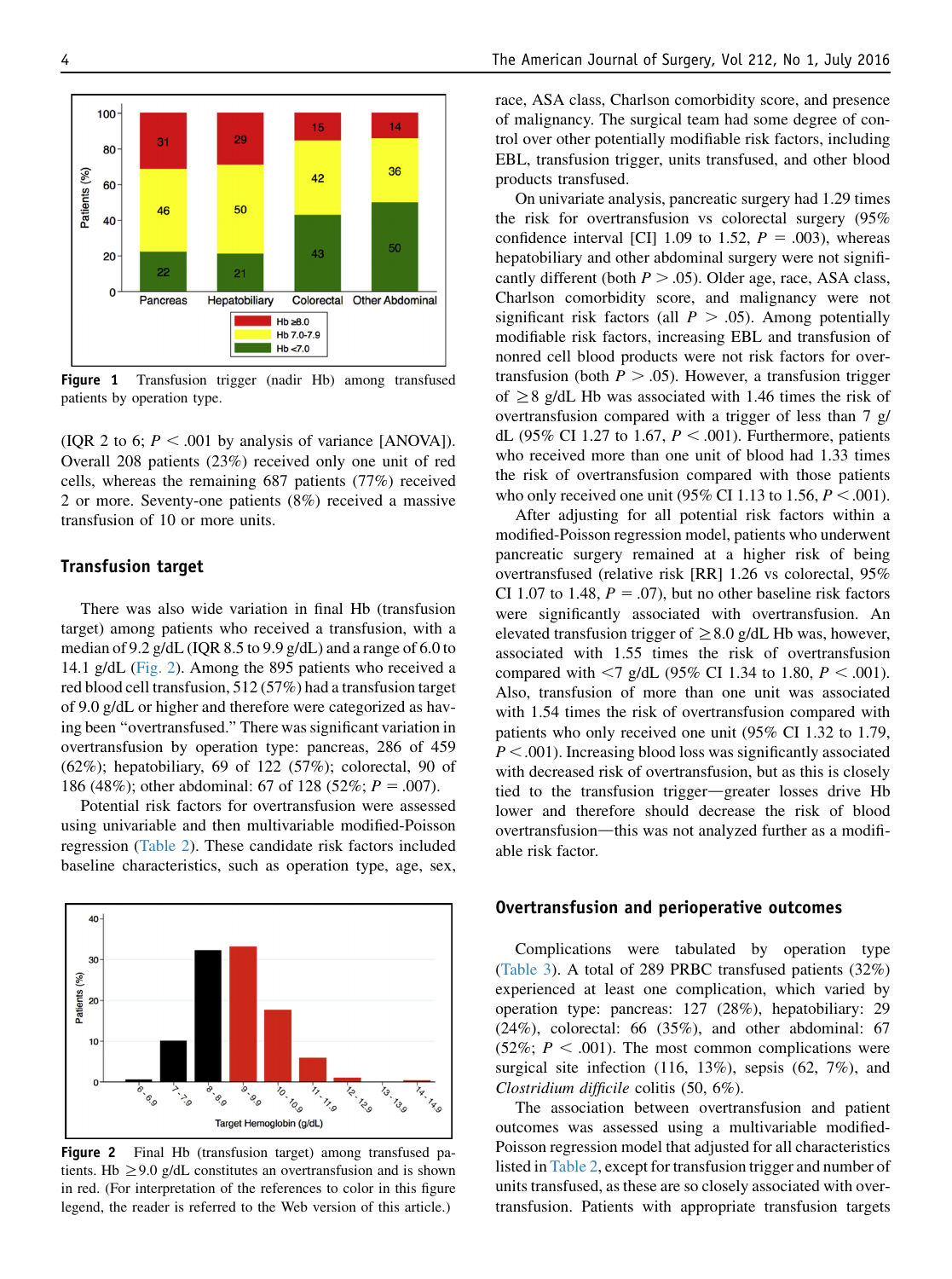<span id="page-3-0"></span>

Figure 1 Transfusion trigger (nadir Hb) among transfused patients by operation type.

(IQR 2 to 6;  $P < .001$  by analysis of variance [ANOVA]). Overall 208 patients (23%) received only one unit of red cells, whereas the remaining 687 patients (77%) received 2 or more. Seventy-one patients (8%) received a massive transfusion of 10 or more units.

#### Transfusion target

There was also wide variation in final Hb (transfusion target) among patients who received a transfusion, with a median of 9.2 g/dL (IQR 8.5 to 9.9 g/dL) and a range of 6.0 to 14.1 g/dL (Fig. 2). Among the 895 patients who received a red blood cell transfusion, 512 (57%) had a transfusion target of 9.0 g/dL or higher and therefore were categorized as having been ''overtransfused.'' There was significant variation in overtransfusion by operation type: pancreas, 286 of 459  $(62\%)$ ; hepatobiliary, 69 of 122 (57%); colorectal, 90 of 186 (48%); other abdominal: 67 of 128 (52%;  $P = .007$ ).

Potential risk factors for overtransfusion were assessed using univariable and then multivariable modified-Poisson regression [\(Table 2\)](#page-4-0). These candidate risk factors included baseline characteristics, such as operation type, age, sex,



Figure 2 Final Hb (transfusion target) among transfused patients. Hb  $\geq$ 9.0 g/dL constitutes an overtransfusion and is shown in red. (For interpretation of the references to color in this figure legend, the reader is referred to the Web version of this article.)

race, ASA class, Charlson comorbidity score, and presence of malignancy. The surgical team had some degree of control over other potentially modifiable risk factors, including EBL, transfusion trigger, units transfused, and other blood products transfused.

On univariate analysis, pancreatic surgery had 1.29 times the risk for overtransfusion vs colorectal surgery (95% confidence interval [CI] 1.09 to 1.52,  $P = .003$ ), whereas hepatobiliary and other abdominal surgery were not significantly different (both  $P > .05$ ). Older age, race, ASA class, Charlson comorbidity score, and malignancy were not significant risk factors (all  $P > .05$ ). Among potentially modifiable risk factors, increasing EBL and transfusion of nonred cell blood products were not risk factors for overtransfusion (both  $P > .05$ ). However, a transfusion trigger of  $\geq$  8 g/dL Hb was associated with 1.46 times the risk of overtransfusion compared with a trigger of less than 7 g/ dL (95% CI 1.27 to 1.67,  $P < .001$ ). Furthermore, patients who received more than one unit of blood had 1.33 times the risk of overtransfusion compared with those patients who only received one unit (95% CI 1.13 to 1.56,  $P < .001$ ).

After adjusting for all potential risk factors within a modified-Poisson regression model, patients who underwent pancreatic surgery remained at a higher risk of being overtransfused (relative risk [RR] 1.26 vs colorectal, 95% CI 1.07 to 1.48,  $P = .07$ ), but no other baseline risk factors were significantly associated with overtransfusion. An elevated transfusion trigger of  $\geq$ 8.0 g/dL Hb was, however, associated with 1.55 times the risk of overtransfusion compared with  $<$ 7 g/dL (95% CI 1.34 to 1.80, P  $<$  .001). Also, transfusion of more than one unit was associated with 1.54 times the risk of overtransfusion compared with patients who only received one unit (95% CI 1.32 to 1.79,  $P < .001$ ). Increasing blood loss was significantly associated with decreased risk of overtransfusion, but as this is closely tied to the transfusion trigger-greater losses drive Hb lower and therefore should decrease the risk of blood overtransfusion—this was not analyzed further as a modifiable risk factor.

#### Overtransfusion and perioperative outcomes

Complications were tabulated by operation type [\(Table 3\)](#page-5-0). A total of 289 PRBC transfused patients (32%) experienced at least one complication, which varied by operation type: pancreas: 127 (28%), hepatobiliary: 29 (24%), colorectal: 66 (35%), and other abdominal: 67  $(52\%; P < .001)$ . The most common complications were surgical site infection (116, 13%), sepsis (62, 7%), and Clostridium difficile colitis (50, 6%).

The association between overtransfusion and patient outcomes was assessed using a multivariable modified-Poisson regression model that adjusted for all characteristics listed in [Table 2,](#page-4-0) except for transfusion trigger and number of units transfused, as these are so closely associated with overtransfusion. Patients with appropriate transfusion targets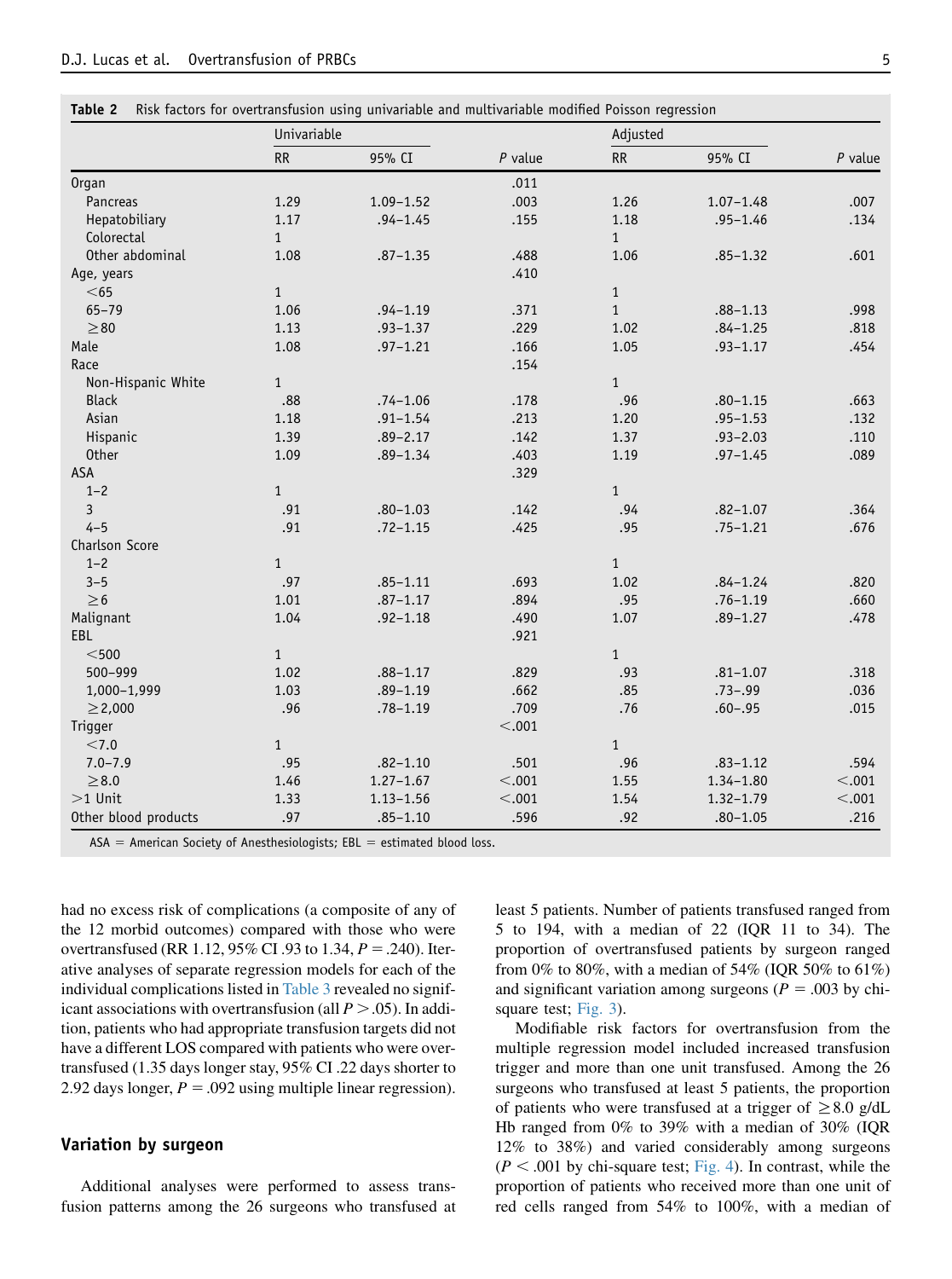|                      | Univariable  |               |           | Adjusted     |               |           |
|----------------------|--------------|---------------|-----------|--------------|---------------|-----------|
|                      | RR           | 95% CI        | $P$ value | <b>RR</b>    | 95% CI        | $P$ value |
| <b>Organ</b>         |              |               | .011      |              |               |           |
| Pancreas             | 1.29         | $1.09 - 1.52$ | .003      | 1.26         | $1.07 - 1.48$ | .007      |
| Hepatobiliary        | 1.17         | $.94 - 1.45$  | .155      | 1.18         | $.95 - 1.46$  | .134      |
| Colorectal           | $\mathbf{1}$ |               |           | $\mathbf{1}$ |               |           |
| Other abdominal      | 1.08         | $.87 - 1.35$  | .488      | 1.06         | $.85 - 1.32$  | .601      |
| Age, years           |              |               | .410      |              |               |           |
| $<$ 65               | $\mathbf{1}$ |               |           | $\,1\,$      |               |           |
| $65 - 79$            | 1.06         | $.94 - 1.19$  | .371      | $\mathbf{1}$ | $.88 - 1.13$  | .998      |
| $\geq 80$            | 1.13         | $.93 - 1.37$  | .229      | 1.02         | $.84 - 1.25$  | .818      |
| Male                 | 1.08         | $.97 - 1.21$  | .166      | 1.05         | $.93 - 1.17$  | .454      |
| Race                 |              |               | .154      |              |               |           |
| Non-Hispanic White   | $\mathbf{1}$ |               |           | $\mathbf{1}$ |               |           |
| <b>Black</b>         | .88          | $.74 - 1.06$  | .178      | .96          | $.80 - 1.15$  | .663      |
| Asian                | 1.18         | $.91 - 1.54$  | .213      | 1.20         | $.95 - 1.53$  | .132      |
| Hispanic             | 1.39         | $.89 - 2.17$  | .142      | 1.37         | $.93 - 2.03$  | .110      |
| <b>Other</b>         | 1.09         | $.89 - 1.34$  | .403      | 1.19         | $.97 - 1.45$  | .089      |
| ASA                  |              |               | .329      |              |               |           |
| $1 - 2$              | $\mathbf{1}$ |               |           | $\mathbf{1}$ |               |           |
| 3                    | .91          | $.80 - 1.03$  | .142      | .94          | $.82 - 1.07$  | .364      |
| $4 - 5$              | .91          | $.72 - 1.15$  | .425      | .95          | $.75 - 1.21$  | .676      |
| Charlson Score       |              |               |           |              |               |           |
| $1 - 2$              | $\mathbf{1}$ |               |           | $\mathbf{1}$ |               |           |
| $3 - 5$              | .97          | $.85 - 1.11$  | .693      | 1.02         | $.84 - 1.24$  | .820      |
| $\geq$ 6             | 1.01         | $.87 - 1.17$  | .894      | .95          | $.76 - 1.19$  | .660      |
| Malignant            | 1.04         | $.92 - 1.18$  | .490      | 1.07         | $.89 - 1.27$  | .478      |
| EBL                  |              |               | .921      |              |               |           |
| $<$ 500 $\,$         | $\mathbf{1}$ |               |           | $\mathbf{1}$ |               |           |
| 500-999              | 1.02         | $.88 - 1.17$  | .829      | .93          | $.81 - 1.07$  | .318      |
| 1,000-1,999          | 1.03         | $.89 - 1.19$  | .662      | .85          | $.73 - .99$   | .036      |
| $\geq$ 2,000         | .96          | $.78 - 1.19$  | .709      | .76          | $.60 - .95$   | .015      |
| Trigger              |              |               | < .001    |              |               |           |
| < 7.0                | $\mathbf{1}$ |               |           | $\mathbf{1}$ |               |           |
| $7.0 - 7.9$          | .95          | $.82 - 1.10$  | .501      | .96          | $.83 - 1.12$  | .594      |
| $\geq\!8.0$          | 1.46         | $1.27 - 1.67$ | < .001    | 1.55         | $1.34 - 1.80$ | < .001    |
| $>1$ Unit            | 1.33         | $1.13 - 1.56$ | $< .001$  | 1.54         | $1.32 - 1.79$ | < .001    |
| Other blood products | .97          | $.85 - 1.10$  | .596      | .92          | $.80 - 1.05$  | .216      |

<span id="page-4-0"></span>Table 2 Risk factors for overtransfusion using univariable and multivariable modified Poisson regression

 $ASA = American Society of Anesthesiology; EBL = estimated blood loss.$ 

had no excess risk of complications (a composite of any of the 12 morbid outcomes) compared with those who were overtransfused (RR 1.12, 95% CI .93 to 1.34,  $P = .240$ ). Iterative analyses of separate regression models for each of the individual complications listed in [Table 3](#page-5-0) revealed no significant associations with overtransfusion (all  $P > .05$ ). In addition, patients who had appropriate transfusion targets did not have a different LOS compared with patients who were overtransfused (1.35 days longer stay, 95% CI .22 days shorter to 2.92 days longer,  $P = .092$  using multiple linear regression).

## Variation by surgeon

Additional analyses were performed to assess transfusion patterns among the 26 surgeons who transfused at least 5 patients. Number of patients transfused ranged from 5 to 194, with a median of 22 (IQR 11 to 34). The proportion of overtransfused patients by surgeon ranged from 0% to 80%, with a median of 54% (IQR 50% to 61%) and significant variation among surgeons ( $P = .003$  by chisquare test; [Fig. 3\)](#page-5-0).

Modifiable risk factors for overtransfusion from the multiple regression model included increased transfusion trigger and more than one unit transfused. Among the 26 surgeons who transfused at least 5 patients, the proportion of patients who were transfused at a trigger of  $\geq$ 8.0 g/dL Hb ranged from 0% to 39% with a median of 30% (IQR 12% to 38%) and varied considerably among surgeons  $(P < .001$  by chi-square test; [Fig. 4](#page-6-0)). In contrast, while the proportion of patients who received more than one unit of red cells ranged from 54% to 100%, with a median of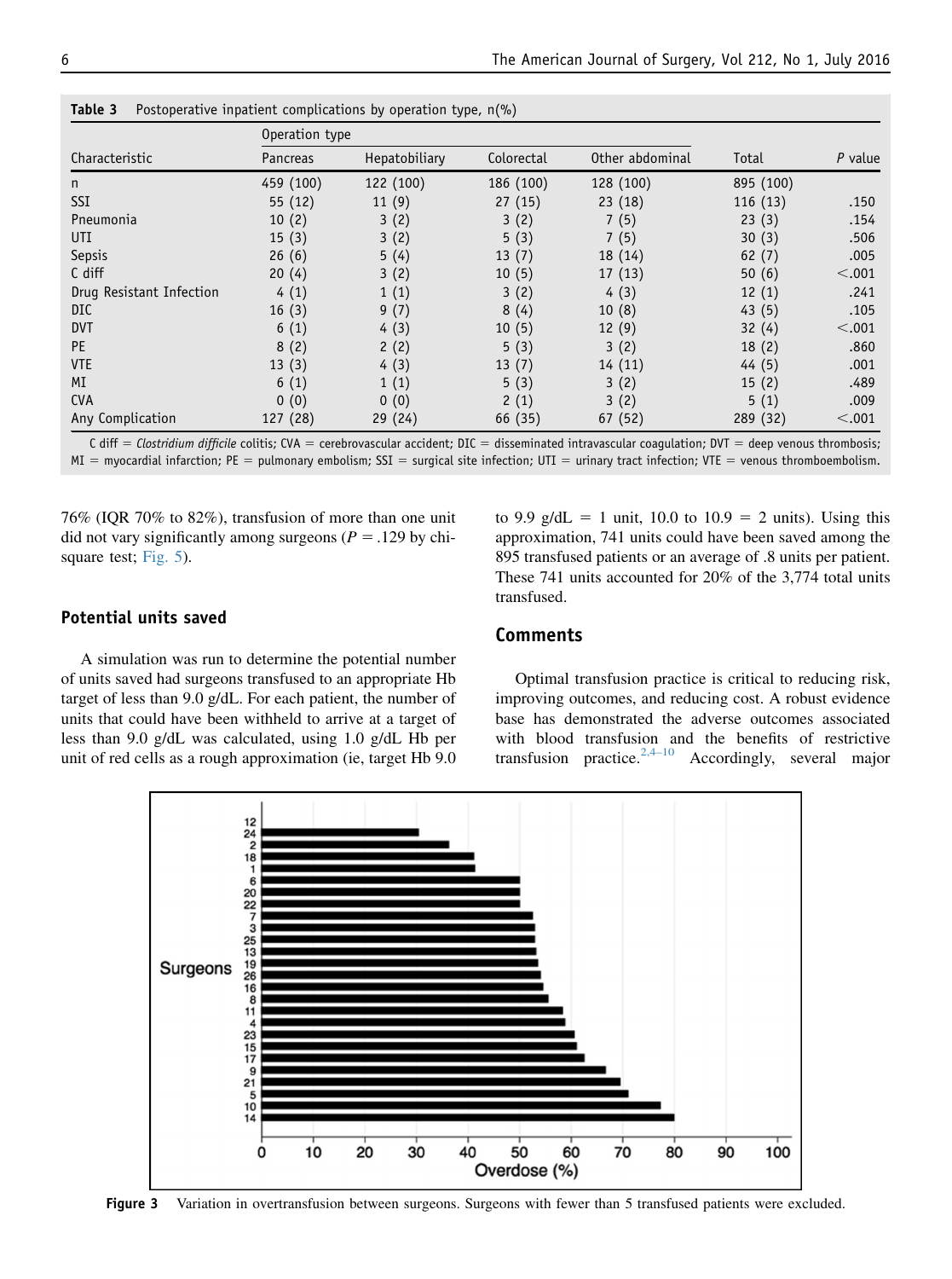|                          | Operation type |               |            |                 |           |           |
|--------------------------|----------------|---------------|------------|-----------------|-----------|-----------|
| Characteristic           | Pancreas       | Hepatobiliary | Colorectal | Other abdominal | Total     | $P$ value |
| n                        | 459 (100)      | 122 (100)     | 186 (100)  | 128 (100)       | 895 (100) |           |
| <b>SSI</b>               | 55(12)         | 11(9)         | 27(15)     | 23(18)          | 116(13)   | .150      |
| Pneumonia                | 10(2)          | 3(2)          | 3(2)       | 7(5)            | 23(3)     | .154      |
| <b>UTI</b>               | 15(3)          | 3(2)          | 5(3)       | 7(5)            | 30(3)     | .506      |
| Sepsis                   | 26(6)          | 5(4)          | 13(7)      | 18 (14)         | 62(7)     | .005      |
| C diff                   | 20(4)          | 3(2)          | 10(5)      | 17(13)          | 50(6)     | < .001    |
| Drug Resistant Infection | 4(1)           | 1(1)          | 3(2)       | 4(3)            | 12(1)     | .241      |
| <b>DIC</b>               | 16(3)          | 9(7)          | 8(4)       | 10(8)           | 43(5)     | .105      |
| <b>DVT</b>               | 6(1)           | 4(3)          | 10(5)      | 12(9)           | 32(4)     | < .001    |
| <b>PE</b>                | 8(2)           | 2(2)          | 5(3)       | 3(2)            | 18(2)     | .860      |
| <b>VTE</b>               | 13(3)          | 4(3)          | 13(7)      | 14(11)          | 44(5)     | .001      |
| MI                       | 6(1)           | 1(1)          | 5(3)       | 3(2)            | 15(2)     | .489      |
| <b>CVA</b>               | 0(0)           | 0(0)          | 2(1)       | 3(2)            | 5(1)      | .009      |
| Any Complication         | 127 (28)       | 29(24)        | 66 (35)    | 67 (52)         | 289 (32)  | < .001    |

<span id="page-5-0"></span>Table 3 Postoperative inpatient complications by operation type, n(%)

C diff = Clostridium difficile colitis; CVA = cerebrovascular accident; DIC = disseminated intravascular coagulation; DVT = deep venous thrombosis;  $MI = myocardial infarction; PE = pulmonary embolism; SSL = surgical site infection; UTI = urinary tract infection; VTE = venous thromboembolism.$ 

76% (IQR 70% to 82%), transfusion of more than one unit did not vary significantly among surgeons ( $P = .129$  by chisquare test; [Fig. 5\)](#page-6-0).

## to 9.9 g/dL = 1 unit, 10.0 to  $10.9 = 2$  units). Using this approximation, 741 units could have been saved among the 895 transfused patients or an average of .8 units per patient. These 741 units accounted for 20% of the 3,774 total units transfused.

# Potential units saved

A simulation was run to determine the potential number of units saved had surgeons transfused to an appropriate Hb target of less than 9.0 g/dL. For each patient, the number of units that could have been withheld to arrive at a target of less than 9.0 g/dL was calculated, using 1.0 g/dL Hb per unit of red cells as a rough approximation (ie, target Hb 9.0

#### Comments

Optimal transfusion practice is critical to reducing risk, improving outcomes, and reducing cost. A robust evidence base has demonstrated the adverse outcomes associated with blood transfusion and the benefits of restrictive transfusion practice.<sup>[2,4–10](#page-7-0)</sup> Accordingly, several major



Figure 3 Variation in overtransfusion between surgeons. Surgeons with fewer than 5 transfused patients were excluded.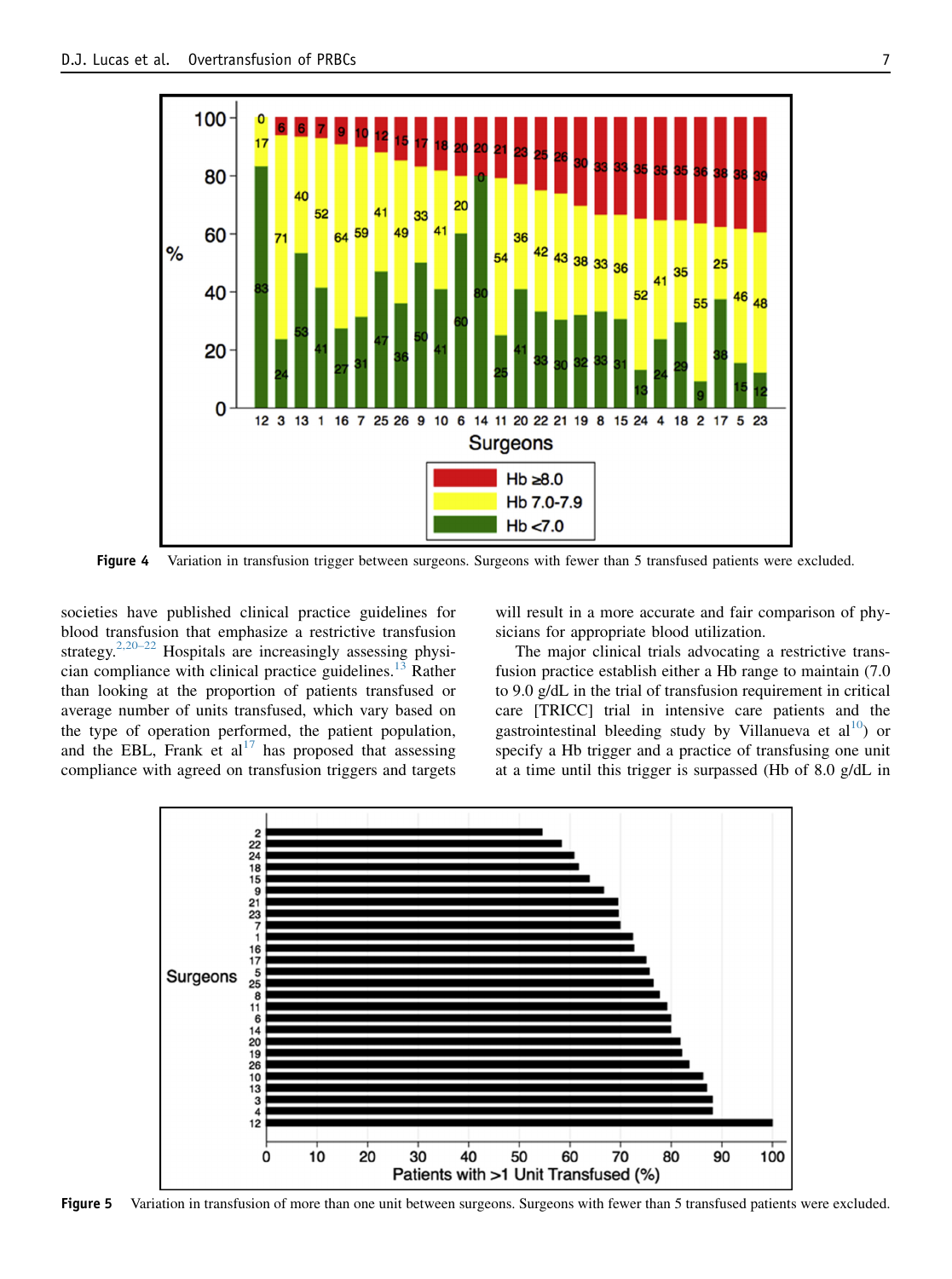<span id="page-6-0"></span>

Figure 4 Variation in transfusion trigger between surgeons. Surgeons with fewer than 5 transfused patients were excluded.

societies have published clinical practice guidelines for blood transfusion that emphasize a restrictive transfusion strategy.<sup>[2,20–22](#page-7-0)</sup> Hospitals are increasingly assessing physi-cian compliance with clinical practice guidelines.<sup>[13](#page-7-0)</sup> Rather than looking at the proportion of patients transfused or average number of units transfused, which vary based on the type of operation performed, the patient population, and the EBL, Frank et  $al^{17}$  $al^{17}$  $al^{17}$  has proposed that assessing compliance with agreed on transfusion triggers and targets will result in a more accurate and fair comparison of physicians for appropriate blood utilization.

The major clinical trials advocating a restrictive transfusion practice establish either a Hb range to maintain (7.0 to 9.0 g/dL in the trial of transfusion requirement in critical care [TRICC] trial in intensive care patients and the gastrointestinal bleeding study by Villanueva et  $al^{10}$  $al^{10}$  $al^{10}$  or specify a Hb trigger and a practice of transfusing one unit at a time until this trigger is surpassed (Hb of 8.0 g/dL in

![](_page_6_Figure_6.jpeg)

Figure 5 Variation in transfusion of more than one unit between surgeons. Surgeons with fewer than 5 transfused patients were excluded.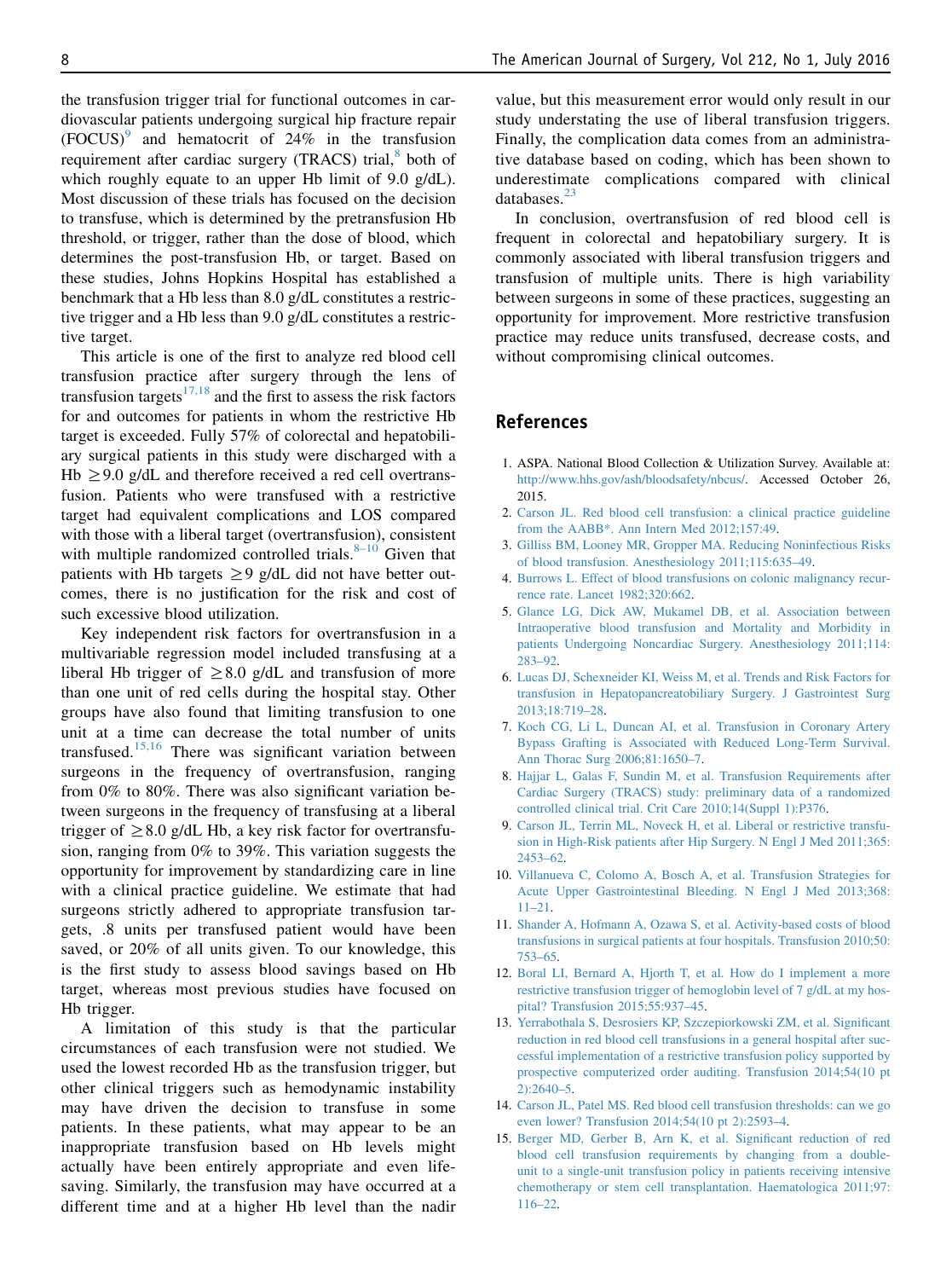<span id="page-7-0"></span>the transfusion trigger trial for functional outcomes in cardiovascular patients undergoing surgical hip fracture repair  $(FOCUS)^9$  and hematocrit of 24% in the transfusion requirement after cardiac surgery (TRACS) trial, $8$  both of which roughly equate to an upper Hb limit of 9.0 g/dL). Most discussion of these trials has focused on the decision to transfuse, which is determined by the pretransfusion Hb threshold, or trigger, rather than the dose of blood, which determines the post-transfusion Hb, or target. Based on these studies, Johns Hopkins Hospital has established a benchmark that a Hb less than 8.0 g/dL constitutes a restrictive trigger and a Hb less than 9.0 g/dL constitutes a restrictive target.

This article is one of the first to analyze red blood cell transfusion practice after surgery through the lens of transfusion targets<sup>17,18</sup> and the first to assess the risk factors for and outcomes for patients in whom the restrictive Hb target is exceeded. Fully 57% of colorectal and hepatobiliary surgical patients in this study were discharged with a Hb  $\geq$ 9.0 g/dL and therefore received a red cell overtransfusion. Patients who were transfused with a restrictive target had equivalent complications and LOS compared with those with a liberal target (overtransfusion), consistent with multiple randomized controlled trials. $8-10$  Given that patients with Hb targets  $\geq$ 9 g/dL did not have better outcomes, there is no justification for the risk and cost of such excessive blood utilization.

Key independent risk factors for overtransfusion in a multivariable regression model included transfusing at a liberal Hb trigger of  $\geq$ 8.0 g/dL and transfusion of more than one unit of red cells during the hospital stay. Other groups have also found that limiting transfusion to one unit at a time can decrease the total number of units transfused.<sup>15,16</sup> There was significant variation between surgeons in the frequency of overtransfusion, ranging from 0% to 80%. There was also significant variation between surgeons in the frequency of transfusing at a liberal trigger of  $\geq$ 8.0 g/dL Hb, a key risk factor for overtransfusion, ranging from 0% to 39%. This variation suggests the opportunity for improvement by standardizing care in line with a clinical practice guideline. We estimate that had surgeons strictly adhered to appropriate transfusion targets, .8 units per transfused patient would have been saved, or 20% of all units given. To our knowledge, this is the first study to assess blood savings based on Hb target, whereas most previous studies have focused on Hb trigger.

A limitation of this study is that the particular circumstances of each transfusion were not studied. We used the lowest recorded Hb as the transfusion trigger, but other clinical triggers such as hemodynamic instability may have driven the decision to transfuse in some patients. In these patients, what may appear to be an inappropriate transfusion based on Hb levels might actually have been entirely appropriate and even lifesaving. Similarly, the transfusion may have occurred at a different time and at a higher Hb level than the nadir

value, but this measurement error would only result in our study understating the use of liberal transfusion triggers. Finally, the complication data comes from an administrative database based on coding, which has been shown to underestimate complications compared with clinical databases.<sup>[23](#page-8-0)</sup>

In conclusion, overtransfusion of red blood cell is frequent in colorectal and hepatobiliary surgery. It is commonly associated with liberal transfusion triggers and transfusion of multiple units. There is high variability between surgeons in some of these practices, suggesting an opportunity for improvement. More restrictive transfusion practice may reduce units transfused, decrease costs, and without compromising clinical outcomes.

# References

- 1. ASPA. National Blood Collection & Utilization Survey. Available at: [http://www.hhs.gov/ash/bloodsafety/nbcus/.](http://www.hhs.gov/ash/bloodsafety/nbcus/) Accessed October 26, 2015.
- 2. [Carson JL. Red blood cell transfusion: a clinical practice guideline](http://refhub.elsevier.com/S0002-9610(16)30087-3/sref2) [from the AABB\\*. Ann Intern Med 2012;157:49.](http://refhub.elsevier.com/S0002-9610(16)30087-3/sref2)
- 3. [Gilliss BM, Looney MR, Gropper MA. Reducing Noninfectious Risks](http://refhub.elsevier.com/S0002-9610(16)30087-3/sref3) [of blood transfusion. Anesthesiology 2011;115:635–49.](http://refhub.elsevier.com/S0002-9610(16)30087-3/sref3)
- 4. [Burrows L. Effect of blood transfusions on colonic malignancy recur](http://refhub.elsevier.com/S0002-9610(16)30087-3/sref4)[rence rate. Lancet 1982;320:662](http://refhub.elsevier.com/S0002-9610(16)30087-3/sref4).
- 5. [Glance LG, Dick AW, Mukamel DB, et al. Association between](http://refhub.elsevier.com/S0002-9610(16)30087-3/sref5) [Intraoperative blood transfusion and Mortality and Morbidity in](http://refhub.elsevier.com/S0002-9610(16)30087-3/sref5) [patients Undergoing Noncardiac Surgery. Anesthesiology 2011;114:](http://refhub.elsevier.com/S0002-9610(16)30087-3/sref5) [283–92](http://refhub.elsevier.com/S0002-9610(16)30087-3/sref5).
- 6. [Lucas DJ, Schexneider KI, Weiss M, et al. Trends and Risk Factors for](http://refhub.elsevier.com/S0002-9610(16)30087-3/sref6) [transfusion in Hepatopancreatobiliary Surgery. J Gastrointest Surg](http://refhub.elsevier.com/S0002-9610(16)30087-3/sref6) [2013;18:719–28](http://refhub.elsevier.com/S0002-9610(16)30087-3/sref6).
- 7. [Koch CG, Li L, Duncan AI, et al. Transfusion in Coronary Artery](http://refhub.elsevier.com/S0002-9610(16)30087-3/sref7) [Bypass Grafting is Associated with Reduced Long-Term Survival.](http://refhub.elsevier.com/S0002-9610(16)30087-3/sref7) [Ann Thorac Surg 2006;81:1650–7](http://refhub.elsevier.com/S0002-9610(16)30087-3/sref7).
- 8. [Hajjar L, Galas F, Sundin M, et al. Transfusion Requirements after](http://refhub.elsevier.com/S0002-9610(16)30087-3/sref8) [Cardiac Surgery \(TRACS\) study: preliminary data of a randomized](http://refhub.elsevier.com/S0002-9610(16)30087-3/sref8) [controlled clinical trial. Crit Care 2010;14\(Suppl 1\):P376.](http://refhub.elsevier.com/S0002-9610(16)30087-3/sref8)
- 9. [Carson JL, Terrin ML, Noveck H, et al. Liberal or restrictive transfu](http://refhub.elsevier.com/S0002-9610(16)30087-3/sref9)[sion in High-Risk patients after Hip Surgery. N Engl J Med 2011;365:](http://refhub.elsevier.com/S0002-9610(16)30087-3/sref9) [2453–62](http://refhub.elsevier.com/S0002-9610(16)30087-3/sref9).
- 10. [Villanueva C, Colomo A, Bosch A, et al. Transfusion Strategies for](http://refhub.elsevier.com/S0002-9610(16)30087-3/sref10) [Acute Upper Gastrointestinal Bleeding. N Engl J Med 2013;368:](http://refhub.elsevier.com/S0002-9610(16)30087-3/sref10) [11–21](http://refhub.elsevier.com/S0002-9610(16)30087-3/sref10).
- 11. [Shander A, Hofmann A, Ozawa S, et al. Activity-based costs of blood](http://refhub.elsevier.com/S0002-9610(16)30087-3/sref11) [transfusions in surgical patients at four hospitals. Transfusion 2010;50:](http://refhub.elsevier.com/S0002-9610(16)30087-3/sref11) [753–65](http://refhub.elsevier.com/S0002-9610(16)30087-3/sref11).
- 12. [Boral LI, Bernard A, Hjorth T, et al. How do I implement a more](http://refhub.elsevier.com/S0002-9610(16)30087-3/sref12) [restrictive transfusion trigger of hemoglobin level of 7 g/dL at my hos](http://refhub.elsevier.com/S0002-9610(16)30087-3/sref12)[pital? Transfusion 2015;55:937–45](http://refhub.elsevier.com/S0002-9610(16)30087-3/sref12).
- 13. [Yerrabothala S, Desrosiers KP, Szczepiorkowski ZM, et al. Significant](http://refhub.elsevier.com/S0002-9610(16)30087-3/sref13) [reduction in red blood cell transfusions in a general hospital after suc](http://refhub.elsevier.com/S0002-9610(16)30087-3/sref13)[cessful implementation of a restrictive transfusion policy supported by](http://refhub.elsevier.com/S0002-9610(16)30087-3/sref13) [prospective computerized order auditing. Transfusion 2014;54\(10 pt](http://refhub.elsevier.com/S0002-9610(16)30087-3/sref13) [2\):2640–5.](http://refhub.elsevier.com/S0002-9610(16)30087-3/sref13)
- 14. [Carson JL, Patel MS. Red blood cell transfusion thresholds: can we go](http://refhub.elsevier.com/S0002-9610(16)30087-3/sref14) [even lower? Transfusion 2014;54\(10 pt 2\):2593–4](http://refhub.elsevier.com/S0002-9610(16)30087-3/sref14).
- 15. [Berger MD, Gerber B, Arn K, et al. Significant reduction of red](http://refhub.elsevier.com/S0002-9610(16)30087-3/sref15) [blood cell transfusion requirements by changing from a double](http://refhub.elsevier.com/S0002-9610(16)30087-3/sref15)[unit to a single-unit transfusion policy in patients receiving intensive](http://refhub.elsevier.com/S0002-9610(16)30087-3/sref15) [chemotherapy or stem cell transplantation. Haematologica 2011;97:](http://refhub.elsevier.com/S0002-9610(16)30087-3/sref15) [116–22](http://refhub.elsevier.com/S0002-9610(16)30087-3/sref15).